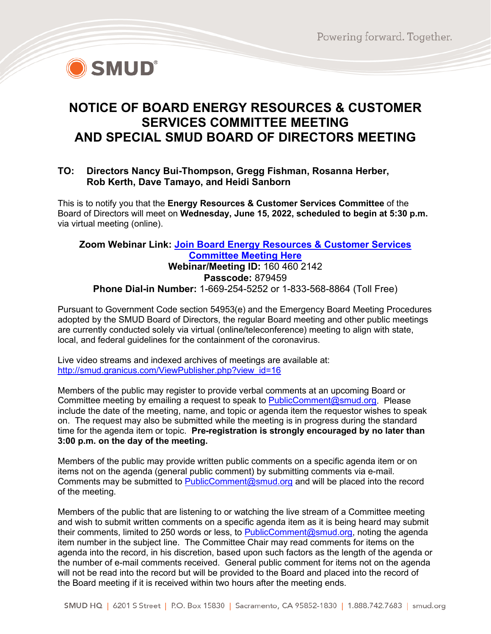

# **NOTICE OF BOARD ENERGY RESOURCES & CUSTOMER SERVICES COMMITTEE MEETING AND SPECIAL SMUD BOARD OF DIRECTORS MEETING**

#### **TO: Directors Nancy Bui-Thompson, Gregg Fishman, Rosanna Herber, Rob Kerth, Dave Tamayo, and Heidi Sanborn**

This is to notify you that the **Energy Resources & Customer Services Committee** of the Board of Directors will meet on **Wednesday, June 15, 2022, scheduled to begin at 5:30 p.m.** via virtual meeting (online).

#### **Zoom Webinar Link: [Join Board Energy Resources & Customer Services](https://smud.zoomgov.com/j/1604602142?pwd=SjFuOWV1blBEc1BDcG1Yek0wVWo2dz09)  [Committee Meeting Here](https://smud.zoomgov.com/j/1604602142?pwd=SjFuOWV1blBEc1BDcG1Yek0wVWo2dz09) Webinar/Meeting ID:** 160 460 2142 **Passcode:** 879459 **Phone Dial-in Number:** 1-669-254-5252 or 1-833-568-8864 (Toll Free)

Pursuant to Government Code section 54953(e) and the Emergency Board Meeting Procedures adopted by the SMUD Board of Directors, the regular Board meeting and other public meetings are currently conducted solely via virtual (online/teleconference) meeting to align with state, local, and federal guidelines for the containment of the coronavirus.

Live video streams and indexed archives of meetings are available at: http://smud.granicus.com/ViewPublisher.php?view<sup>id=16</sup>

Members of the public may register to provide verbal comments at an upcoming Board or Committee meeting by emailing a request to speak to **PublicComment@smud.org**. Please include the date of the meeting, name, and topic or agenda item the requestor wishes to speak on. The request may also be submitted while the meeting is in progress during the standard time for the agenda item or topic. **Pre-registration is strongly encouraged by no later than 3:00 p.m. on the day of the meeting.**

Members of the public may provide written public comments on a specific agenda item or on items not on the agenda (general public comment) by submitting comments via e-mail. Comments may be submitted to [PublicComment@smud.org](mailto:PublicComment@smud.org) and will be placed into the record of the meeting.

Members of the public that are listening to or watching the live stream of a Committee meeting and wish to submit written comments on a specific agenda item as it is being heard may submit their comments, limited to 250 words or less, to [PublicComment@smud.org,](mailto:PublicComment@smud.org) noting the agenda item number in the subject line. The Committee Chair may read comments for items on the agenda into the record, in his discretion, based upon such factors as the length of the agenda or the number of e-mail comments received. General public comment for items not on the agenda will not be read into the record but will be provided to the Board and placed into the record of the Board meeting if it is received within two hours after the meeting ends.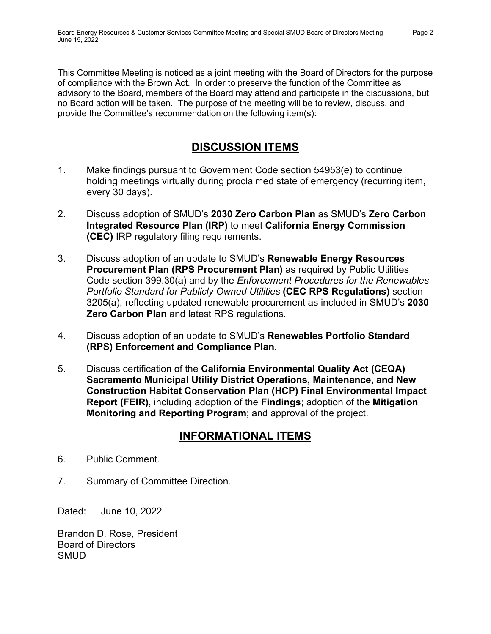This Committee Meeting is noticed as a joint meeting with the Board of Directors for the purpose of compliance with the Brown Act. In order to preserve the function of the Committee as advisory to the Board, members of the Board may attend and participate in the discussions, but no Board action will be taken. The purpose of the meeting will be to review, discuss, and provide the Committee's recommendation on the following item(s):

## **DISCUSSION ITEMS**

- 1. Make findings pursuant to Government Code section 54953(e) to continue holding meetings virtually during proclaimed state of emergency (recurring item, every 30 days).
- 2. Discuss adoption of SMUD's **2030 Zero Carbon Plan** as SMUD's **Zero Carbon Integrated Resource Plan (IRP)** to meet **California Energy Commission (CEC)** IRP regulatory filing requirements.
- 3. Discuss adoption of an update to SMUD's **Renewable Energy Resources Procurement Plan (RPS Procurement Plan)** as required by Public Utilities Code section 399.30(a) and by the *Enforcement Procedures for the Renewables Portfolio Standard for Publicly Owned Utilities* **(CEC RPS Regulations)** section 3205(a), reflecting updated renewable procurement as included in SMUD's **2030 Zero Carbon Plan** and latest RPS regulations.
- 4. Discuss adoption of an update to SMUD's **Renewables Portfolio Standard (RPS) Enforcement and Compliance Plan**.
- 5. Discuss certification of the **California Environmental Quality Act (CEQA) Sacramento Municipal Utility District Operations, Maintenance, and New Construction Habitat Conservation Plan (HCP) Final Environmental Impact Report (FEIR)**, including adoption of the **Findings**; adoption of the **Mitigation Monitoring and Reporting Program**; and approval of the project.

### **INFORMATIONAL ITEMS**

- 6. Public Comment.
- 7. Summary of Committee Direction.

Dated: June 10, 2022

Brandon D. Rose, President Board of Directors SMUD